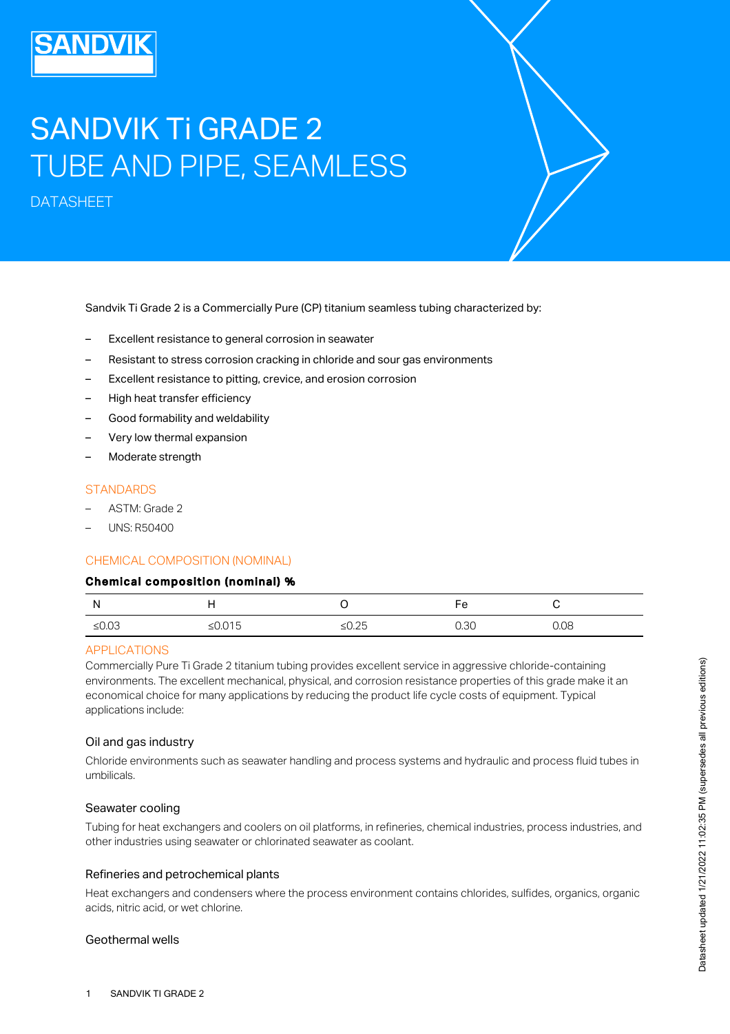# SANDVIK Ti GRADE 2 TUBE AND PIPE, SEAMLESS

DATASHEET

Sandvik Ti Grade 2 is a Commercially Pure (CP) titanium seamless tubing characterized by:

- Excellent resistance to general corrosion in seawater
- Resistant to stress corrosion cracking in chloride and sour gas environments
- Excellent resistance to pitting, crevice, and erosion corrosion
- High heat transfer efficiency
- Good formability and weldability
- Very low thermal expansion
- Moderate strength

## **STANDARDS**

- ASTM: Grade 2
- UNS: R50400

#### CHEMICAL COMPOSITION (NOMINAL)

#### Chemical composition (nominal) %

| Ν       |           |                          | ⊢≏<br>c |      |
|---------|-----------|--------------------------|---------|------|
| $≤0.03$ | ≤ $0.015$ | $\sim$ $\sim$<br>ں ے.ں د | 0.30    | 0.08 |

#### APPLICATIONS

Commercially Pure Ti Grade 2 titanium tubing provides excellent service in aggressive chloride-containing environments. The excellent mechanical, physical, and corrosion resistance properties of this grade make it an economical choice for many applications by reducing the product life cycle costs of equipment. Typical applications include:

#### Oil and gas industry

Chloride environments such as seawater handling and process systems and hydraulic and process fluid tubes in umbilicals.

#### Seawater cooling

Tubing for heat exchangers and coolers on oil platforms, in refineries, chemical industries, process industries, and other industries using seawater or chlorinated seawater as coolant.

#### Refineries and petrochemical plants

Heat exchangers and condensers where the process environment contains chlorides, sulfides, organics, organic acids, nitric acid, or wet chlorine.

#### Geothermal wells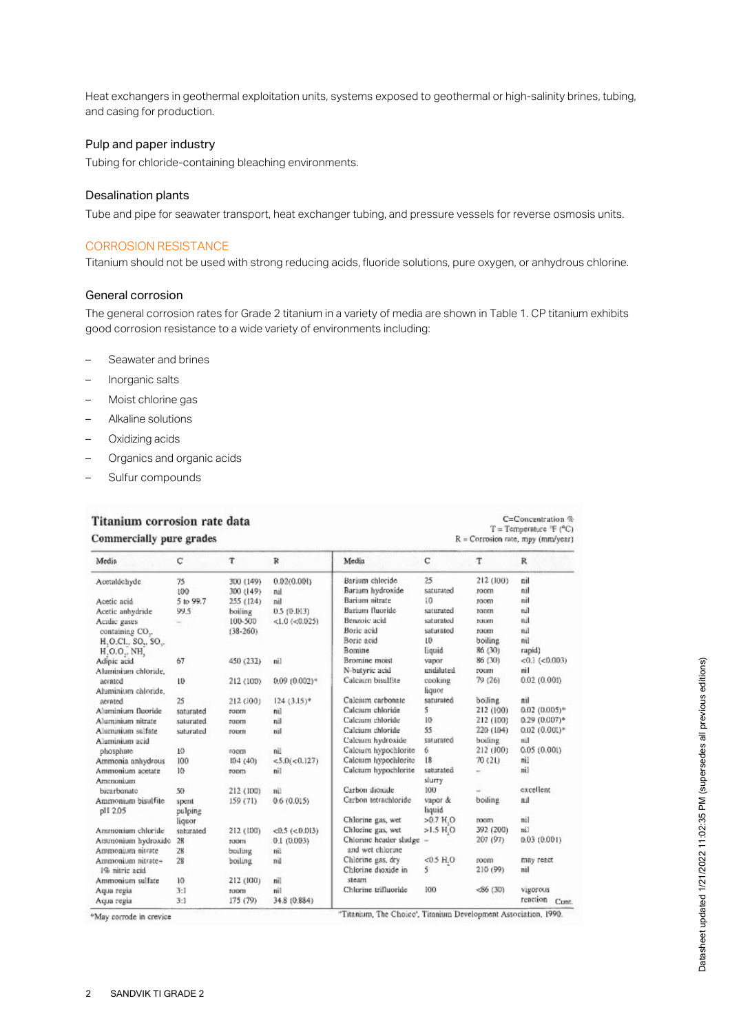Heat exchangers in geothermal exploitation units, systems exposed to geothermal or high-salinity brines, tubing, and casing for production.

## Pulp and paper industry

Tubing for chloride-containing bleaching environments.

#### Desalination plants

Tube and pipe for seawater transport, heat exchanger tubing, and pressure vessels for reverse osmosis units.

#### CORROSION RESISTANCE

Titanium should not be used with strong reducing acids, fluoride solutions, pure oxygen, or anhydrous chlorine.

#### General corrosion

The general corrosion rates for Grade 2 titanium in a variety of media are shown in Table 1. CP titanium exhibits good corrosion resistance to a wide variety of environments including:

- Seawater and brines
- Inorganic salts
- Moist chlorine gas
- Alkaline solutions
- Oxidizing acids
- Organics and organic acids
- Sulfur compounds

# Titanium corrosion rate data Commercially pure grades

| $C =$ Concentration $\%$              |
|---------------------------------------|
| $T = Temperature$ $F$ ( $^{\circ}C$ ) |
| $R =$ Corrosion rate, mpy (mm/year)   |

| Media                                                                | с               | T            | R                    | Media                  | C                       | T         | $\mathbb{R}$          |
|----------------------------------------------------------------------|-----------------|--------------|----------------------|------------------------|-------------------------|-----------|-----------------------|
| Acetaldchyde                                                         | 75              | 300 (149)    | 0.02(0.001)          | Berium chloride        | 25                      | 212 (100) | nil                   |
|                                                                      | 100             | 300 (149)    | nil                  | Bariam hydroxide       | saturated               | room      | nil                   |
| Acetic acid                                                          | 5 to 99.7       | 255 (124)    | nil                  | Barium nitrate         | 10                      | room      | nil                   |
| Acetic anhydride                                                     | 99.5            | boiling      | 0.5 (0.013)          | Barium fluoride        | saturated               | room      | nal                   |
| Acidic gases                                                         |                 | 100-500      | $<1.0$ ( $<$ 0.025)  | Benzoic acid           | saturated               | TOOTH     | nal                   |
| containing CO.,                                                      |                 | $(38-260)$   |                      | Borie acid             | saturated               | room      | nil                   |
| H <sub>1</sub> O <sub>ccl.</sub> , SO <sub>2</sub> , SO <sub>2</sub> |                 |              |                      | Borie acid             | $10^{\circ}$            | boiling   | nal                   |
| $H, O, O_+$ , NH,                                                    |                 |              |                      | Bomine                 | liquid                  | 86 (30)   | rapid)                |
| Adipic acid                                                          | 67              | 450 (232)    | nil                  | Bromine moist          | vapor                   | 86 (30)   | $< 0.1$ ( $< 0.003$ ) |
| Aluminium chloride.                                                  |                 |              |                      | N-butyric acid         | undiluted               | roum      | nil                   |
| acrated                                                              | 10              | 212 (100)    | $0.09(0.002)*$       | Calcium bisulfite      | cooking                 | 79 (26)   | 0.02(0.001)           |
| Aluminium chloride.                                                  |                 |              |                      |                        | liquor                  |           |                       |
| aerated                                                              | 25              | 212 (100)    | $124 (3.15)^{o}$     | Calcium carbonate      | saturated               | boiling   | nil                   |
| Aluminium fluoride                                                   | saturated       | <b>FODUI</b> | nil                  | Calcium chloride       | 5                       | 212 (100) | $0.02$ (0.005)*       |
| Aluminium nitrate                                                    | saturated       | room         | nil                  | Calcium chloride       | 10                      | 212 (100) | $0.29(0.007)^*$       |
| Aluminium sulfate                                                    | saturated       | горпи        | nil                  | Calcium chloride       | 55                      | 220 (104) | $(0.02)(0.001)*$      |
| Aluminium acid                                                       |                 |              |                      | Calcium hydroxide      | saturated               | boiling   | nil                   |
| phosphare                                                            | 10              | room         | nil                  | Calcium hypochlorite   | 6                       | 212 (100) | 0.05(0.001)           |
| Ammonia anhydrous                                                    | 100             | 104(40)      | <5.0(<0.127)         | Calcium hypochlorite   | 18                      | 70 (21)   | nil                   |
| Ammonium acetate                                                     | 10              | room         | nil                  | Calcium hypochlorite   | saturated               |           | nil                   |
| Ammonium                                                             |                 |              |                      |                        | slurry                  |           |                       |
| bicarbonate                                                          | 50 <sub>1</sub> | 212 (100)    | nil.                 | Carbon dioxide         | 100                     |           | excellent             |
| Ammonium bisulfite.                                                  | spent           | 159(71)      | 0.6(0.015)           | Carbon tetrachloride   | vapor &                 | boiling   | nil                   |
| pH 2.05                                                              | pulping         |              |                      |                        | liquid                  |           |                       |
|                                                                      | liquor          |              |                      | Chlorine gas, wet      | $>0.7$ H.O              | roam      | nil                   |
| Ammonium chloride                                                    | saturated       | 212 (100)    | $<0.5$ ( $< 0.013$ ) | Chlorine gas, wet      | $>1.5$ H <sub>,</sub> O | 392 (200) | nil                   |
| Ammonium hydroxide                                                   | 28              | TOOTH        | 0.1(0.003)           | Chlorine header sludge |                         | 207(97)   | (0.03(0.001))         |
| Ammonium nitrate                                                     | 28              | boiling      | nil                  | and wet chlorine       |                         |           |                       |
| Ammonium nitrate+                                                    | 28              | boiling      | nil                  | Chlorine gas, dry      | $<0.5$ H.O              | room      | may react             |
| 1% nitric acid                                                       |                 |              |                      | Chlorine dioxide in    | 5                       | 210 (99)  | nil                   |
| Ammonium sulfate                                                     | 10              | 212 (100)    | nil                  | steam                  |                         |           |                       |
| Aqua regia                                                           | 3:1             | TOOTH        | nil                  | Chlorine trifluoride   | 100                     | 50(30)    | Vigorous              |
| Aqua regia                                                           | 3:1             | 175(79)      | 34.8 (0.884)         |                        |                         |           | reaction<br>Cont      |

<sup>o</sup>May corrode in crevice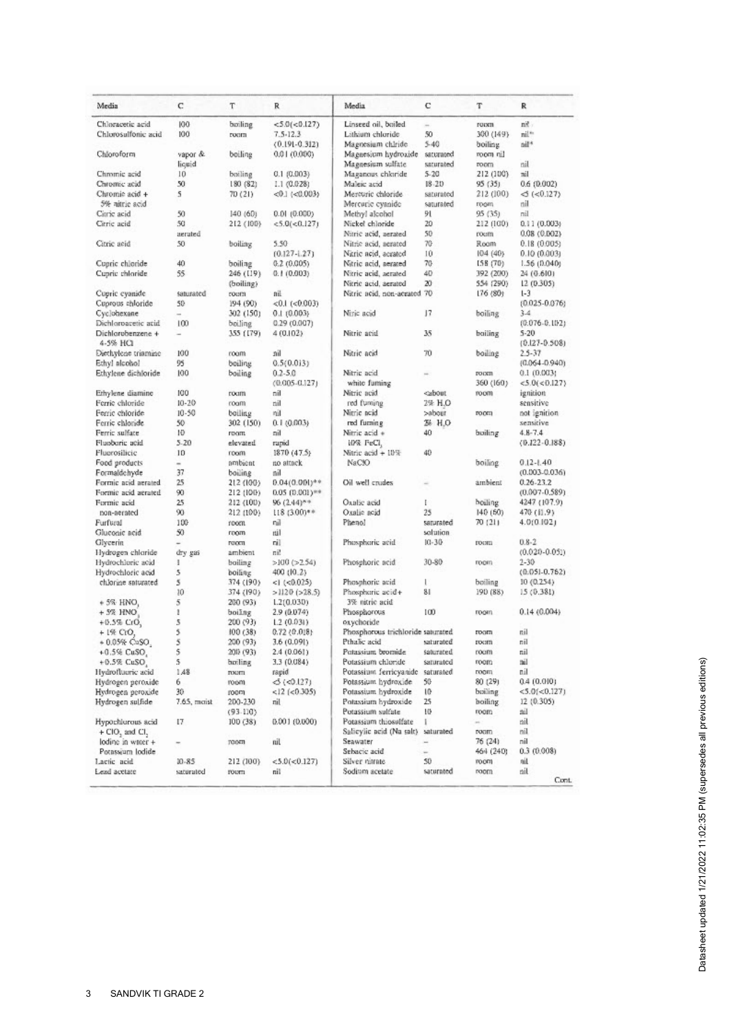| Media                                    | C                        | т         | R                      | Media                             | с         | т         | R                 |
|------------------------------------------|--------------------------|-----------|------------------------|-----------------------------------|-----------|-----------|-------------------|
| Chloracetic acid                         | 100                      | boiling   | < 5.0 (< 0.127)        | Linseed oil, boiled               | $\sim$    | ropen     | nit.              |
| Chlorosulfonic acid                      | 100                      | room      | $7.5 - 12.3$           | Lithium chloride                  | 50        | 300 (149) | nil <sup>*</sup>  |
|                                          |                          |           | $(0.191 - 0.312)$      | Magnesium chiride                 | $5 - 40$  | boiling   | nil*              |
| Chloroform                               | vapor &                  | boiling   | 0.01(0.000)            | Magnesium hydroxide               | saturated | room nil  |                   |
|                                          | liquid                   |           |                        | Magnesium sulfate                 | saturated | room      | mil               |
| Chromic acid                             | 10                       | boiling   | 0.1(0.003)             | Maganous chkiride                 | $5 - 20$  | 212 (100) | nil               |
| Chromic acid                             | 50                       | 180 (82)  | 1.1 (0.028)            | Maleic acid                       | $18 - 20$ | 95 (35)   | 0.6 (0.002)       |
| Chromic acid +                           | 5                        |           | $<0.1$ ( $< 0.003$ )   | Mercuric chloride                 | saturated | 212 (100) | $\leq (0.127)$    |
| 5% nitric acid                           |                          | 70 (21)   |                        |                                   |           |           | nil               |
|                                          |                          |           |                        | Mercuric cyanide                  | saturated | гоон      |                   |
| Citric acid                              | 50                       | 140(60)   | 0.01(0.000)            | Methyl alcohol                    | 91        | 95 (35)   | mil               |
| Citric acid                              | 50                       | 212 (100) | < 5.0 (< 0.127)        | Nickel chloride                   | 20        | 212 (100) | 0.11(0.003)       |
|                                          | aerated                  |           |                        | Nitric acid, aerated              | 50        | roum      | 0.08(0.002)       |
| Citric acid                              | 50                       | boiling   | 5.50                   | Nitric acid, aerated              | 70        | Room      | 0.18(0.005)       |
|                                          |                          |           | $(0.127 - 1.27)$       | Nitric acid, acrated              | 10        | 104 (40)  | 0.10(0.003)       |
| Cupric chloride                          | 40                       | boiling   | 0.2(0.005)             | Nitric acid, aerated              | 70        | ISB (70)  | 1.56(0.040)       |
| Cupric chloride                          | 55                       | 246 (LI9) | 0.1(0.003)             | Nitric acid, aerated              | 40        | 392 (200) | 24 (0.610)        |
|                                          |                          | (boiling) |                        | Nitric acid, aerated              | 20        | 554 (290) | 12 (0.305)        |
| Cupric cyanide                           | saturated                | roum      | nil                    | Nitric acid, non-acrated 70       |           | 176 (80)  | $1-3$             |
| Cuprous chloride                         | 50                       | 194 (90)  | $< 0.1$ ( $< 0.003$ )  |                                   |           |           | $(0.025 - 0.076)$ |
| Cyclobexane                              | -                        | 302 (150) | (600.011.0)            | Ninc acid                         | 17        | boiling   | $3 - 4$           |
|                                          | 100                      |           |                        |                                   |           |           |                   |
| Dichloroacetic acid                      |                          | boiling   | 0.29(0.007)            |                                   |           |           | $(0.076 - 0.102)$ |
| Dichlorobenzene +                        | $\overline{\phantom{a}}$ | 355 (179) | 4 (0.102)              | Nitric acid                       | 35        | builing   | $5-20$            |
| 4-5% HCI                                 |                          |           |                        |                                   |           |           | $(0.127 - 0.508)$ |
| Diethylene triamine                      | 100                      | room      | nil                    | Nitric acid                       | 70        | boiling   | $2.5 - 37$        |
| Ethyl alcohol                            | 95                       | boiling   | 0.5(0.013)             |                                   |           |           | $(0.064 - 0.940)$ |
| Ethylene dichloride                      | 100                      | boiling   | $0.2 - 5.0$            | Nitric acid                       |           | ropen     | 0.1(0.003)        |
|                                          |                          |           | $(0.005 - 0.127)$      | white furning                     |           | 360 (160) | <5.0(<0.127)      |
| Ethylene diamine                         | 100                      | roum      | nil                    | Nitric acid                       | cabout.   | room      | ignition          |
| Ferric chloride                          | $10 - 20$                | roam      | tiil                   | red fuming                        | 2% H.O    |           | sensitive         |
| Ferric chloride                          | $10 - 50$                | boiling   | nil                    | Nitric acid                       | >abour    | room      | not ignition      |
| Ferric chlonide                          | 50                       |           |                        | red furning                       | 28 H.O    |           | sensitive         |
|                                          |                          | 302 (150) | 0.1(0.003)             |                                   |           |           | $4.8 - 7.4$       |
| Ferric sulfate                           | 10                       | room      | nil                    | Nitric acid +                     | 40        | boiling   |                   |
| Fluobaric acid                           | 5.20                     | elevated  | rapid                  | 10% FeCl,                         |           |           | $(0.122 - 0.188)$ |
| Fluorosilicio                            | 10                       | room      | 1870(47.5)             | Nitric acid + 10%                 | 40        |           |                   |
| Food products                            | $\overline{a}$           | ambient   | no attack              | NaC3O                             |           | boiling   | $0.12 - 1.40$     |
| Formaldchyde                             | 37                       | boiling   | nil                    |                                   |           |           | $(0.003 - 0.036)$ |
| Formic acid aerated                      | 25                       | 212 (100) | $0.04(0.001)^{++}$     | Oil well crudes                   | $\sim$    | ambient   | $0.26 - 23.2$     |
| Formic acid aerated                      | 90                       | 212 (100) | $0.05(0.001)$ **       |                                   |           |           | $(0.007 - 0.589)$ |
| Formic acid                              | 25                       | 212 (100) | $96(2.44)^{8.9}$       | Oxalic acid                       | r         | boiling   | 4247 (107.9)      |
| non-nerated                              | 90                       | 212 (100) | $118(3.00)*$           | Oxalic acid                       | 25        | 140(60)   | 470 (11.9)        |
| Furfural                                 | 100                      | room      | nii                    | Phenol                            | saturated | 70 (21)   | 4.0(0.102)        |
| Gluconic acid                            | 50                       | room      | nil                    |                                   | salution  |           |                   |
|                                          |                          | room      | nil                    | Phosphoric acid                   | $10 - 30$ | moon      | $0.8 - 2$         |
| Glycerin                                 | -                        |           |                        |                                   |           |           |                   |
| Hydrogen chloride                        | dry gas                  | ambient   | ni!                    |                                   |           |           | $(0.020 - 0.051)$ |
| Hydrochloric acid                        | ı                        | boiling   | $>100$ ( $>2.54$ )     | Phosphoric acid                   | 30-80     | room      | $2 - 30$          |
| Hydrochloric acid                        | 5                        | boiling   | 400 (10.2)             |                                   |           |           | $(0.051 - 0.762)$ |
| chlorine spiurated                       | 5                        | 374 (190) | $<$ 1 ( $<$ 0.025)     | Phosphoric acid                   | L         | boiling   | 10(0.254)         |
|                                          | 10                       | 374 (190) | $>1120$ ( $>28.5$ )    | Phospheric acid+                  | 81        | 190 (88)  | 15(0.381)         |
| $+5%$ HNO                                | 5                        | 200 (93)  | 1.2(0.030)             | 3% nitric acid                    |           |           |                   |
| $+5%$ HNO                                | 1                        | boiling   | 2.9 (0.074)            | Phosphorous                       | 100       | room      | 0.14(0.004)       |
| $+0.5\%$ CrO,                            | 5                        | 200 (93)  | 1.2(0.031)             | oxychoride                        |           |           |                   |
| $+1%$ CrO.                               | 5                        | 100 (38)  | 0.72(0.018)            | Phosphorous trichloride saturated |           | moon      | nil               |
| $+0.05%$ CuSO                            | 5                        | 200 (93)  | 3.6 (0.091)            | Pthalic acid                      | saturated | roum      | nil               |
|                                          | 5                        |           |                        | Potassium bromide                 | saturated |           |                   |
| +0.5% CuSO,                              |                          | 200 (93)  | 2.4 (0.061)            |                                   |           | room      | nil               |
| $+0.5%$ CuSO,                            | 5                        | boiling   | 3.3 (0.084)            | Potassium chloride                | saturated | room      | mil               |
| Hydrofluoric acid                        | 1,48                     | room      | rapid                  | Potassium ferricyanide            | saturated | room      | nil               |
| Hydrogen peroxide                        | 6                        | room      | $\leq$ ( $\leq$ 0.127) | Potassium hydroxide               | 50        | 80 (29)   | 0.4(0.010)        |
| Hydrogen peroxide                        | 30                       | toom      | $< 12$ ( $< 0.305$ )   | Potassium hydroxide               | 10        | boiling   | < 5.0 (< 0.127)   |
| Hydrogen sulfide                         | 7.65, maist              | 200-230   | nil                    | Potassium hydroxide               | 25        | boiling   | 12(0.305)         |
|                                          |                          | (93.110)  |                        | Potassium sulfate                 | ИÞ        | room      | nil               |
| Hypochlorous acid                        | 17                       | 100 (38)  | 0.001 (0.000)          | Potassium thiosulfate             | ı         | ×.        | nil               |
| $+$ CIO <sub>2</sub> and CI <sub>2</sub> |                          |           |                        | Salicylic acid (Na salt)          | saturated | room      | mil               |
| lodine in which +                        |                          | room      | пil                    | Seawater                          | ×         | 76 (24)   | nil               |
|                                          |                          |           |                        | Sebacic acid                      |           | 464 (240) | 0.3 (0.008)       |
| Potassaum lodide                         |                          |           |                        |                                   | ÷         |           |                   |
| Lactic acid                              | 10-85                    | 212 (100) | < 5.0 (< 0.127)        | Silver nitrate                    | 50        | room      | nit               |
| Lead acetate                             | saturated                | roum      | nil                    | Sodium acetate                    | saturated | room      | nil<br>Cont.      |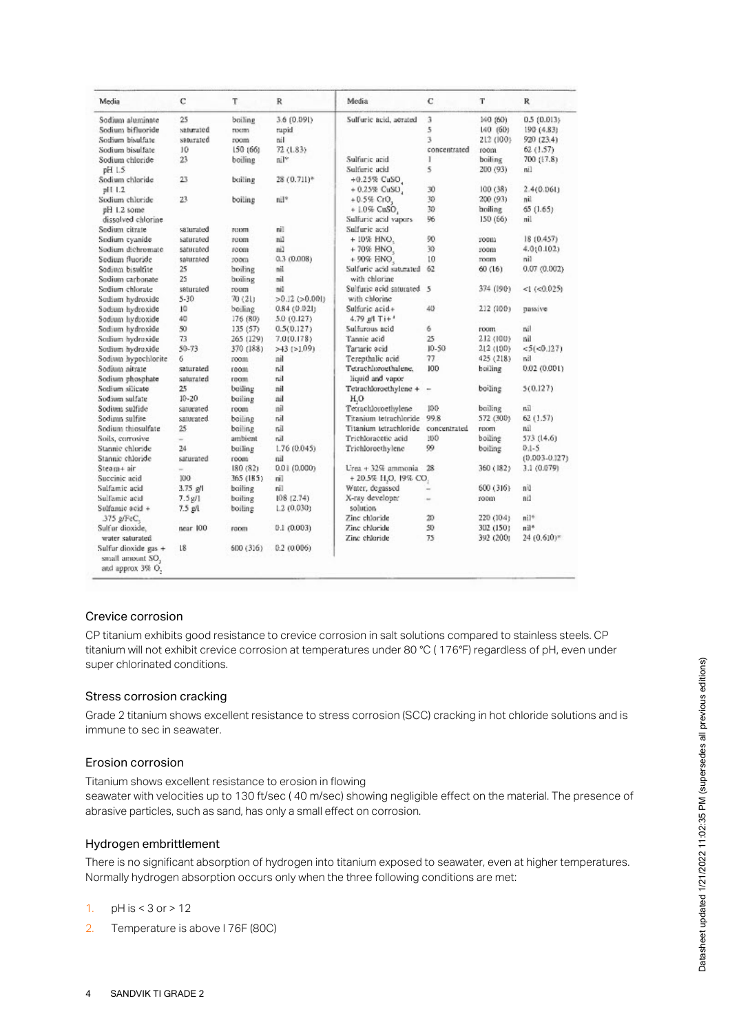| Media                                                        | C                        | T             | $\mathbb{R}$         | Media                     | C                        | т         | $\mathbb{R}$      |
|--------------------------------------------------------------|--------------------------|---------------|----------------------|---------------------------|--------------------------|-----------|-------------------|
| Sodium aluminate                                             | 25                       | boiling       | 3.6 (0.091)          | Sulfurie acid, acrated    | 3                        | 140 (60)  | 0.5(0.013)        |
| Sodium bifluoride                                            | saturated                | room          | tupid                |                           | 5                        | 140 (60)  | 190 (4.83)        |
| Sodium bisulfate                                             | saturated                | room          | tiil                 |                           | 3                        | 212 (100) | 920 (23.4)        |
| Sodium bisulfate                                             | 10                       | 150 (66)      | 72 (1.83)            |                           | concentrated             | room      | 62 (1.57)         |
| Sodium chloride                                              | 23                       | boiling       | mil®                 | Sulfaric acid             | 1                        | boiling   | 700 (17.8)        |
| pH 1.5                                                       |                          |               |                      | Sulfuric acid             | 5                        | 200 (93)  | nil               |
| Sodium chloride                                              | 23                       | builing       | 28 (0.711)*          | $+0.25\%$ CuSO            |                          |           |                   |
| nH1.2                                                        |                          |               |                      | $+0.25\%$ CuSO,           | 30                       | 100 (38)  | 2.4(0.061)        |
| Sodium chloride                                              | 23                       | boiling       | nil*                 | $+0.5%$ CrO,              | 30                       | 200 (93)  | nil               |
| pH 1.2 some                                                  |                          |               |                      | +1.0% CuSO,               | 30                       | boiling   | 65(1.65)          |
| dissolved chlorine                                           |                          |               |                      | Sulfurie acid vapors      | 96                       | 150 (66)  | nil               |
| Sodium citrate                                               | saturated                | <b>FOURTH</b> | nil                  | Sulfuric acid             |                          |           |                   |
| Sodium cyanide                                               | saturated                | room          | nil                  | + 10% HNO.                | 90                       | room      | 18 (0.457)        |
| Sodium dichromate                                            | saturated                | room          | nil                  | +70% HNO.                 | 30                       | room      | 4.010.102)        |
| Sodium fluoride                                              | saturated                | room          | 0.3(0.008)           | + 90% HNO.                | 10                       | room      | nil               |
| Sodium bisulfite                                             | 25                       | boiling       | nil                  | Sulfuric acid saturated   | 62                       | 60(16)    | 0.07(0.002)       |
| Sodium carbonate                                             | 25                       | boiling       | nil                  | with chlorine             |                          |           |                   |
| Sodium chlorate                                              | saturated                | room          | nil                  | Sulfurie acid saturated 5 |                          | 374 (190) | <1 $(< 0.025)$    |
| Sodium hydroxide                                             | $5 - 30$                 | 70 (21)       | $>0.12$ ( $>0.001$ ) | with chlorine             |                          |           |                   |
| Sodium hydroxide                                             | 10                       | boiling       | 0.84(0.021)          | Sulfuric acid+            | 40                       | 212 (100) | passive           |
| Sodium hydroxide                                             | 40                       | 176 (80)      | 5.0 (0.127)          | 4.79 g/l $Ti + 1$         |                          |           |                   |
| Sodium hydroxide                                             | 50                       | 135 (57)      | 0.5(0.127)           | Sulfurous acid            | 6                        | room      | mil               |
| Sodium hydroxide                                             | 73                       | 265 (129)     | 7.0(0.178)           | Tannie acid               | 25                       | 212 (100) | вiІ               |
| Sodium hydroxide                                             | $50 - 73$                | 370 (188)     | $>43$ ( $>1.09$ )    | Tartaric ocid             | $10 - 50$                | 212 (100) | < 5 (< 0.127)     |
| Sodium hypochlorite                                          | 6                        | room          | ail                  | Terepthalic acid          | 77                       | 425(218)  | nil               |
| Sodium nitrate                                               | saturated                | room          | nil                  | Tetrachloroethalene,      | 100                      | boiling   | 0.02 (0.001)      |
| Sodium phosphate                                             | saturated                | room          | nil                  | liquid and vapor          |                          |           |                   |
| Sodium silicate                                              | 25                       | boiling       | mil                  | Tetrachloroethylene +     | $\overline{\phantom{a}}$ | boiling   | 5(0.127)          |
| Sodium sulfate                                               | $10 - 20$                | boiling       | ail                  | H,O                       |                          |           |                   |
| Sodium sulfide                                               | saturated                | room          | nil                  | Tetrachloroethylene       | 100 <sup>5</sup>         | boiling   | пī                |
| Sodimn sulfite                                               | saturated                | boiline       | nil                  | Titanium tetrachloride    | 99.8                     | 572 (300) | 62 (1.57)         |
| Sodium thiosulfate                                           | 25                       | boiling       | nil                  | Titanium tetrachloride    | concentrated             | room      | mil               |
| Soils, corrosive                                             | ÷                        | ambient       | nil                  | Trichloracetic acid       | 100                      | boiling   | 573 (14.6)        |
| Stannic chloride                                             | 24                       | boiling       | 1.76 (0.045)         | Trichloroethylene         | 99                       | boiling   | $0.1 - 5$         |
| Stannic chloride                                             | saturated                | room          | mil                  |                           |                          |           | $(0.003 - 0.127)$ |
| Steam+ nir                                                   | $\overline{\phantom{a}}$ | 180 (82)      | 0.01(0.000)          | Urea + 32% ammonia        | $^{28}$                  | 360 (182) | 3.1 (0.079)       |
| Succinic acid                                                | XIO                      | 365 (185)     | nil                  | + 20.5% H,O, 19% CO,      |                          |           |                   |
| Sulfamic acid                                                | $3.75$ s/l               | builing       | nil                  | Water, degassed           |                          | 600 (316) | nil               |
| Sulfamic acid                                                | $7.5 \,$ g/1             | builing       | 108(2.74)            | X-ray developer           | $\overline{a}$           | room      | nil               |
| Sulfamic acid +                                              | $7.5$ $pl$               | boiling       | 1.2(0.030)           | acquios                   |                          |           |                   |
| 375 g/FeC,                                                   |                          |               |                      | Zinc chloride             | 20                       | 220 (104) | nil*              |
| Sulfur dioxide.                                              | near 100                 | room          | 0.1(0.003)           | Zinc chloride             | 50                       | 302 (150) | nil*              |
| water saturated                                              |                          |               |                      | Zinc chloride             | 75                       | 392 (200) | $24(0.610)*$      |
| Sulfur dioxide gas +<br>small amount SO,<br>and approx 3% O, | 18                       | 600(316)      | 0.2(0.006)           |                           |                          |           |                   |

## Crevice corrosion

CP titanium exhibits good resistance to crevice corrosion in salt solutions compared to stainless steels. CP titanium will not exhibit crevice corrosion at temperatures under 80 °C ( 176°F) regardless of pH, even under super chlorinated conditions.

## Stress corrosion cracking

Grade 2 titanium shows excellent resistance to stress corrosion (SCC) cracking in hot chloride solutions and is immune to sec in seawater.

## Erosion corrosion

Titanium shows excellent resistance to erosion in flowing seawater with velocities up to 130 ft/sec ( 40 m/sec) showing negligible effect on the material. The presence of abrasive particles, such as sand, has only a small effect on corrosion.

## Hydrogen embrittlement

There is no significant absorption of hydrogen into titanium exposed to seawater, even at higher temperatures. Normally hydrogen absorption occurs only when the three following conditions are met:

- 1. pH is < 3 or > 12
- 2. Temperature is above l 76F (80C)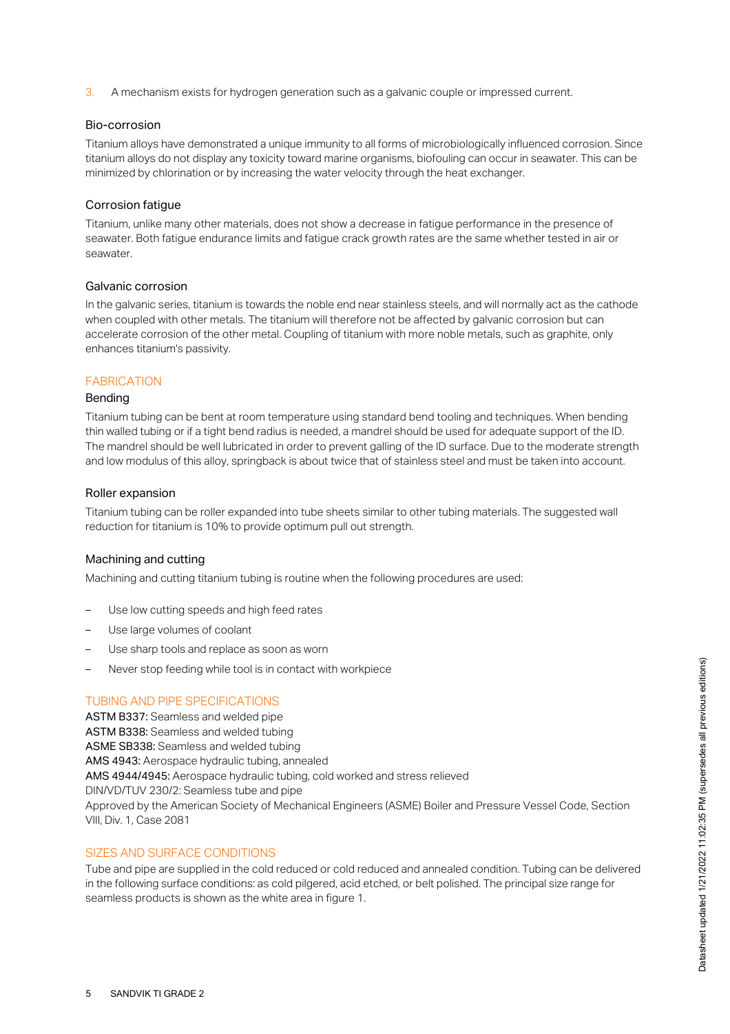3. A mechanism exists for hydrogen generation such as a galvanic couple or impressed current.

## Bio-corrosion

Titanium alloys have demonstrated a unique immunity to all forms of microbiologically influenced corrosion. Since titanium alloys do not display any toxicity toward marine organisms, biofouling can occur in seawater. This can be minimized by chlorination or by increasing the water velocity through the heat exchanger.

#### Corrosion fatigue

Titanium, unlike many other materials, does not show a decrease in fatigue performance in the presence of seawater. Both fatigue endurance limits and fatigue crack growth rates are the same whether tested in air or seawater.

#### Galvanic corrosion

In the galvanic series, titanium is towards the noble end near stainless steels, and will normally act as the cathode when coupled with other metals. The titanium will therefore not be affected by galvanic corrosion but can accelerate corrosion of the other metal. Coupling of titanium with more noble metals, such as graphite, only enhances titanium's passivity.

## **FABRICATION**

## Bending

Titanium tubing can be bent at room temperature using standard bend tooling and techniques. When bending thin walled tubing or if a tight bend radius is needed, a mandrel should be used for adequate support of the ID. The mandrel should be well lubricated in order to prevent galling of the ID surface. Due to the moderate strength and low modulus of this alloy, springback is about twice that of stainless steel and must be taken into account.

#### Roller expansion

Titanium tubing can be roller expanded into tube sheets similar to other tubing materials. The suggested wall reduction for titanium is 10% to provide optimum pull out strength.

## Machining and cutting

Machining and cutting titanium tubing is routine when the following procedures are used:

- Use low cutting speeds and high feed rates
- Use large volumes of coolant
- Use sharp tools and replace as soon as worn
- Never stop feeding while tool is in contact with workpiece

## TUBING AND PIPE SPECIFICATIONS

ASTM B337: Seamless and welded pipe ASTM B338: Seamless and welded tubing ASME SB338: Seamless and welded tubing AMS 4943: Aerospace hydraulic tubing, annealed AMS 4944/4945: Aerospace hydraulic tubing, cold worked and stress relieved DIN/VD/TUV 230/2: Seamless tube and pipe Approved by the American Society of Mechanical Engineers (ASME) Boiler and Pressure Vessel Code, Section VIII, Div. 1, Case 2081

# SIZES AND SURFACE CONDITIONS

Tube and pipe are supplied in the cold reduced or cold reduced and annealed condition. Tubing can be delivered in the following surface conditions: as cold pilgered, acid etched, or belt polished. The principal size range for seamless products is shown as the white area in figure 1.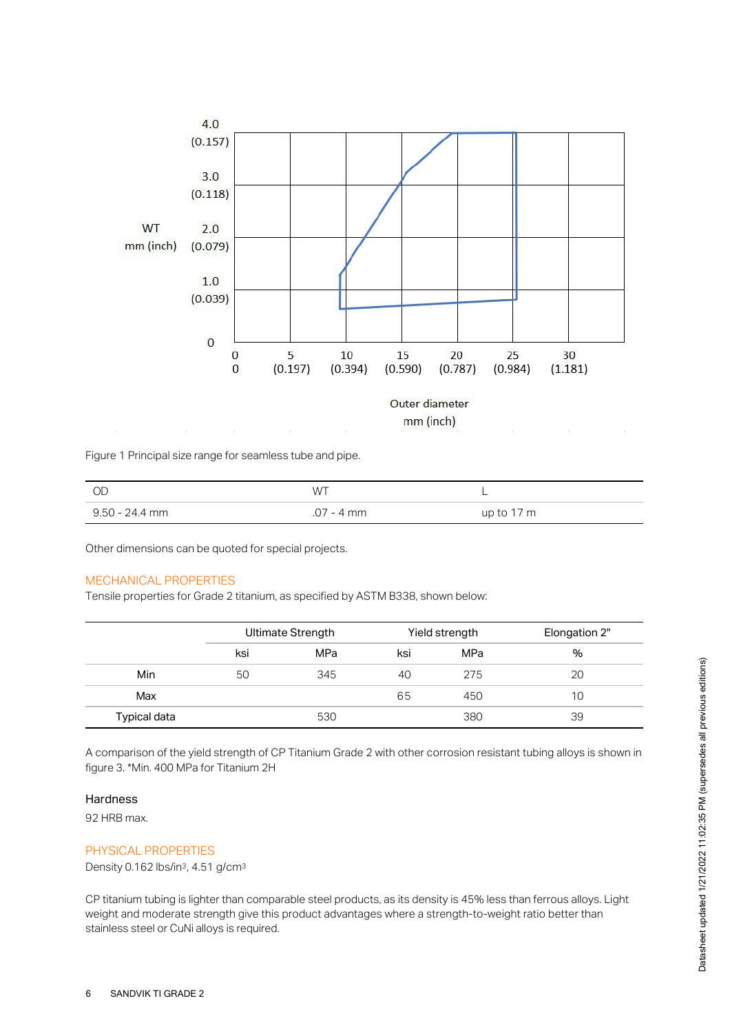

Figure 1 Principal size range for seamless tube and pipe.

| - OD           | <b>WT</b>  |            |
|----------------|------------|------------|
| 9.50 - 24.4 mm | .07 - 4 mm | up to 17 m |

Other dimensions can be quoted for special projects.

## MECHANICAL PROPERTIES

Tensile properties for Grade 2 titanium, as specified by ASTM B338, shown below:

|              | Ultimate Strength |     |     | Yield strength | Elongation 2" |
|--------------|-------------------|-----|-----|----------------|---------------|
|              | ksi               | MPa | ksi | MPa            | %             |
| Min          | 50                | 345 | 40  | 275            | 20            |
| Max          |                   |     | 65  | 450            | 10            |
| Typical data |                   | 530 |     | 380            | 39            |

A comparison of the yield strength of CP Titanium Grade 2 with other corrosion resistant tubing alloys is shown in figure 3. \*Min. 400 MPa for Titanium 2H

#### **Hardness**

92 HRB max.

#### PHYSICAL PROPERTIES

Density 0.162 lbs/in<sup>3</sup>, 4.51 g/cm<sup>3</sup>

CP titanium tubing is lighter than comparable steel products, as its density is 45% less than ferrous alloys. Light weight and moderate strength give this product advantages where a strength-to-weight ratio better than stainless steel or CuNi alloys is required.